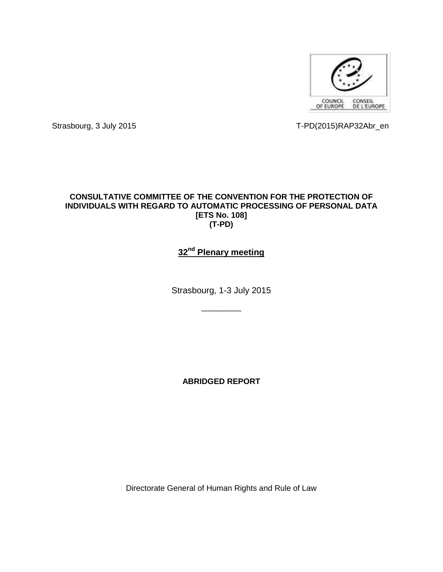

Strasbourg, 3 July 2015 T-PD(2015)RAP32Abr\_en

# **CONSULTATIVE COMMITTEE OF THE CONVENTION FOR THE PROTECTION OF INDIVIDUALS WITH REGARD TO AUTOMATIC PROCESSING OF PERSONAL DATA [ETS No. 108] (T-PD)**

# **32nd Plenary meeting**

Strasbourg, 1-3 July 2015

\_\_\_\_\_\_\_\_\_

**ABRIDGED REPORT**

Directorate General of Human Rights and Rule of Law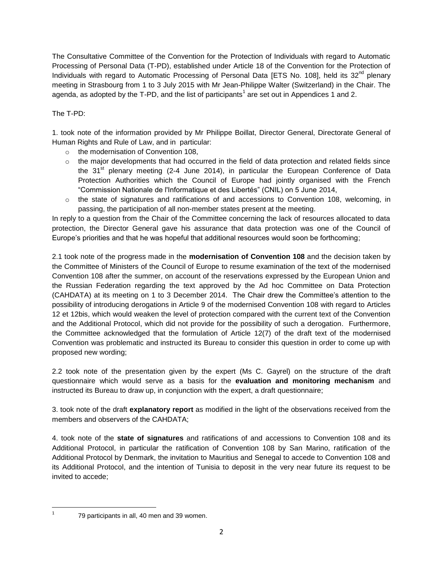The Consultative Committee of the Convention for the Protection of Individuals with regard to Automatic Processing of Personal Data (T-PD), established under Article 18 of the Convention for the Protection of Individuals with regard to Automatic Processing of Personal Data [ETS No. 108], held its 32<sup>nd</sup> plenary meeting in Strasbourg from 1 to 3 July 2015 with Mr Jean-Philippe Walter (Switzerland) in the Chair. The agenda, as adopted by the T-PD, and the list of participants<sup>1</sup> are set out in Appendices 1 and 2.

# The T-PD:

1. took note of the information provided by Mr Philippe Boillat, Director General, Directorate General of Human Rights and Rule of Law, and in particular:

- o the modernisation of Convention 108,
- $\circ$  the major developments that had occurred in the field of data protection and related fields since the  $31<sup>st</sup>$  plenary meeting (2-4 June 2014), in particular the European Conference of Data Protection Authorities which the Council of Europe had jointly organised with the French "Commission Nationale de l'Informatique et des Libertés" (CNIL) on 5 June 2014,
- $\circ$  the state of signatures and ratifications of and accessions to Convention 108, welcoming, in passing, the participation of all non-member states present at the meeting.

In reply to a question from the Chair of the Committee concerning the lack of resources allocated to data protection, the Director General gave his assurance that data protection was one of the Council of Europe's priorities and that he was hopeful that additional resources would soon be forthcoming;

2.1 took note of the progress made in the **modernisation of Convention 108** and the decision taken by the Committee of Ministers of the Council of Europe to resume examination of the text of the modernised Convention 108 after the summer, on account of the reservations expressed by the European Union and the Russian Federation regarding the text approved by the Ad hoc Committee on Data Protection (CAHDATA) at its meeting on 1 to 3 December 2014. The Chair drew the Committee's attention to the possibility of introducing derogations in Article 9 of the modernised Convention 108 with regard to Articles 12 et 12bis, which would weaken the level of protection compared with the current text of the Convention and the Additional Protocol, which did not provide for the possibility of such a derogation. Furthermore, the Committee acknowledged that the formulation of Article 12(7) of the draft text of the modernised Convention was problematic and instructed its Bureau to consider this question in order to come up with proposed new wording;

2.2 took note of the presentation given by the expert (Ms C. Gayrel) on the structure of the draft questionnaire which would serve as a basis for the **evaluation and monitoring mechanism** and instructed its Bureau to draw up, in conjunction with the expert, a draft questionnaire;

3. took note of the draft **explanatory report** as modified in the light of the observations received from the members and observers of the CAHDATA;

4. took note of the **state of signatures** and ratifications of and accessions to Convention 108 and its Additional Protocol, in particular the ratification of Convention 108 by San Marino, ratification of the Additional Protocol by Denmark, the invitation to Mauritius and Senegal to accede to Convention 108 and its Additional Protocol, and the intention of Tunisia to deposit in the very near future its request to be invited to accede;

 $\overline{1}$ 

<sup>79</sup> participants in all, 40 men and 39 women.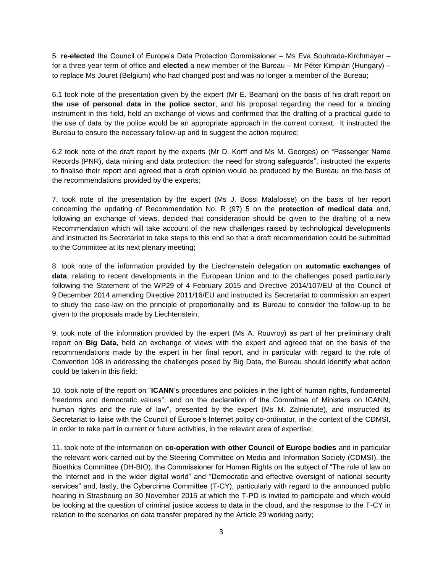5. **re-elected** the Council of Europe's Data Protection Commissioner – Ms Eva Souhrada-Kirchmayer – for a three year term of office and **elected** a new member of the Bureau – Mr Péter Kimpiàn (Hungary) – to replace Ms Jouret (Belgium) who had changed post and was no longer a member of the Bureau;

6.1 took note of the presentation given by the expert (Mr E. Beaman) on the basis of his draft report on **the use of personal data in the police sector**, and his proposal regarding the need for a binding instrument in this field, held an exchange of views and confirmed that the drafting of a practical guide to the use of data by the police would be an appropriate approach in the current context. It instructed the Bureau to ensure the necessary follow-up and to suggest the action required;

6.2 took note of the draft report by the experts (Mr D. Korff and Ms M. Georges) on "Passenger Name Records (PNR), data mining and data protection: the need for strong safeguards", instructed the experts to finalise their report and agreed that a draft opinion would be produced by the Bureau on the basis of the recommendations provided by the experts;

7. took note of the presentation by the expert (Ms J. Bossi Malafosse) on the basis of her report concerning the updating of Recommendation No. R (97) 5 on the **protection of medical data** and, following an exchange of views, decided that consideration should be given to the drafting of a new Recommendation which will take account of the new challenges raised by technological developments and instructed its Secretariat to take steps to this end so that a draft recommendation could be submitted to the Committee at its next plenary meeting;

8. took note of the information provided by the Liechtenstein delegation on **automatic exchanges of data**, relating to recent developments in the European Union and to the challenges posed particularly following the Statement of the WP29 of 4 February 2015 and Directive 2014/107/EU of the Council of 9 December 2014 amending Directive 2011/16/EU and instructed its Secretariat to commission an expert to study the case-law on the principle of proportionality and its Bureau to consider the follow-up to be given to the proposals made by Liechtenstein;

9. took note of the information provided by the expert (Ms A. Rouvroy) as part of her preliminary draft report on **Big Data**, held an exchange of views with the expert and agreed that on the basis of the recommendations made by the expert in her final report, and in particular with regard to the role of Convention 108 in addressing the challenges posed by Big Data, the Bureau should identify what action could be taken in this field;

10. took note of the report on "**ICANN**'s procedures and policies in the light of human rights, fundamental freedoms and democratic values", and on the declaration of the Committee of Ministers on ICANN, human rights and the rule of law", presented by the expert (Ms M. Zalnieriute), and instructed its Secretariat to liaise with the Council of Europe's Internet policy co-ordinator, in the context of the CDMSI, in order to take part in current or future activities, in the relevant area of expertise;

11. took note of the information on **co-operation with other Council of Europe bodies** and in particular the relevant work carried out by the Steering Committee on Media and Information Society (CDMSI), the Bioethics Committee (DH-BIO), the Commissioner for Human Rights on the subject of "The rule of law on the Internet and in the wider digital world" and "Democratic and effective oversight of national security services" and, lastly, the Cybercrime Committee (T-CY), particularly with regard to the announced public hearing in Strasbourg on 30 November 2015 at which the T-PD is invited to participate and which would be looking at the question of criminal justice access to data in the cloud, and the response to the T-CY in relation to the scenarios on data transfer prepared by the Article 29 working party;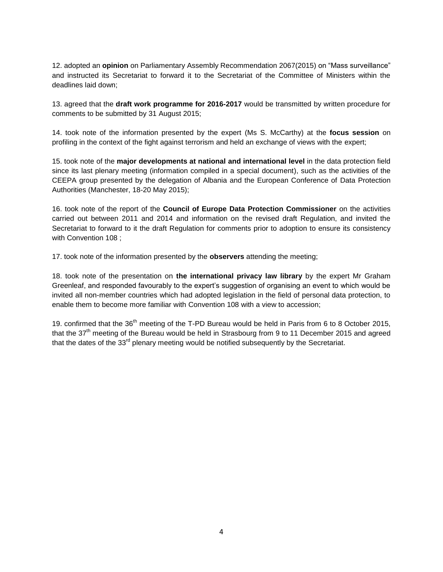12. adopted an **opinion** on Parliamentary Assembly Recommendation 2067(2015) on "Mass surveillance" and instructed its Secretariat to forward it to the Secretariat of the Committee of Ministers within the deadlines laid down;

13. agreed that the **draft work programme for 2016-2017** would be transmitted by written procedure for comments to be submitted by 31 August 2015;

14. took note of the information presented by the expert (Ms S. McCarthy) at the **focus session** on profiling in the context of the fight against terrorism and held an exchange of views with the expert;

15. took note of the **major developments at national and international level** in the data protection field since its last plenary meeting (information compiled in a special document), such as the activities of the CEEPA group presented by the delegation of Albania and the European Conference of Data Protection Authorities (Manchester, 18-20 May 2015);

16. took note of the report of the **Council of Europe Data Protection Commissioner** on the activities carried out between 2011 and 2014 and information on the revised draft Regulation, and invited the Secretariat to forward to it the draft Regulation for comments prior to adoption to ensure its consistency with Convention 108 ;

17. took note of the information presented by the **observers** attending the meeting;

18. took note of the presentation on **the international privacy law library** by the expert Mr Graham Greenleaf, and responded favourably to the expert's suggestion of organising an event to which would be invited all non-member countries which had adopted legislation in the field of personal data protection, to enable them to become more familiar with Convention 108 with a view to accession;

19. confirmed that the 36<sup>th</sup> meeting of the T-PD Bureau would be held in Paris from 6 to 8 October 2015, that the  $37<sup>th</sup>$  meeting of the Bureau would be held in Strasbourg from 9 to 11 December 2015 and agreed that the dates of the  $33<sup>rd</sup>$  plenary meeting would be notified subsequently by the Secretariat.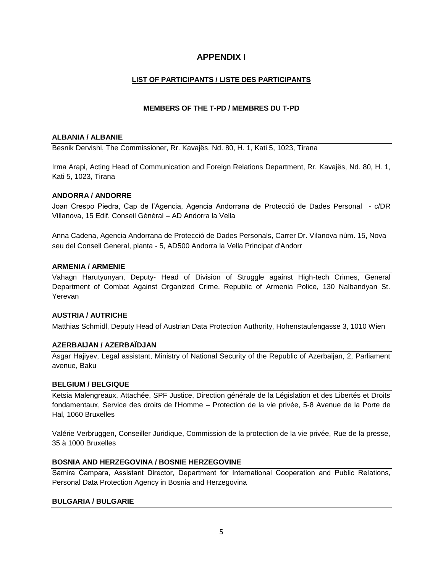# **APPENDIX I**

# **LIST OF PARTICIPANTS / LISTE DES PARTICIPANTS**

# **MEMBERS OF THE T-PD / MEMBRES DU T-PD**

### **ALBANIA / ALBANIE**

Besnik Dervishi, The Commissioner, Rr. Kavajës, Nd. 80, H. 1, Kati 5, 1023, Tirana

Irma Arapi, Acting Head of Communication and Foreign Relations Department, Rr. Kavajës, Nd. 80, H. 1, Kati 5, 1023, Tirana

# **ANDORRA / ANDORRE**

Joan Crespo Piedra, Cap de l'Agencia, Agencia Andorrana de Protecció de Dades Personal - c/DR Villanova, 15 Edif. Conseil Général – AD Andorra la Vella

Anna Cadena, Agencia Andorrana de Protecció de Dades Personals, Carrer Dr. Vilanova núm. 15, Nova seu del Consell General, planta - 5, AD500 Andorra la Vella Principat d'Andorr

# **ARMENIA / ARMENIE**

Vahagn Harutyunyan, Deputy- Head of Division of Struggle against High-tech Crimes, General Department of Combat Against Organized Crime, Republic of Armenia Police, 130 Nalbandyan St. Yerevan

# **AUSTRIA / AUTRICHE**

Matthias Schmidl, Deputy Head of Austrian Data Protection Authority, Hohenstaufengasse 3, 1010 Wien

# **AZERBAIJAN / AZERBAÏDJAN**

Asgar Hajiyev, Legal assistant, Ministry of National Security of the Republic of Azerbaijan, 2, Parliament avenue, Baku

### **BELGIUM / BELGIQUE**

Ketsia Malengreaux, Attachée, SPF Justice, Direction générale de la Législation et des Libertés et Droits fondamentaux, Service des droits de l'Homme – Protection de la vie privée, 5-8 Avenue de la Porte de Hal, 1060 Bruxelles

Valérie Verbruggen, Conseiller Juridique, Commission de la protection de la vie privée, Rue de la presse, 35 à 1000 Bruxelles

# **BOSNIA AND HERZEGOVINA / BOSNIE HERZEGOVINE**

Samira Čampara, Assistant Director, Department for International Cooperation and Public Relations, Personal Data Protection Agency in Bosnia and Herzegovina

### **BULGARIA / BULGARIE**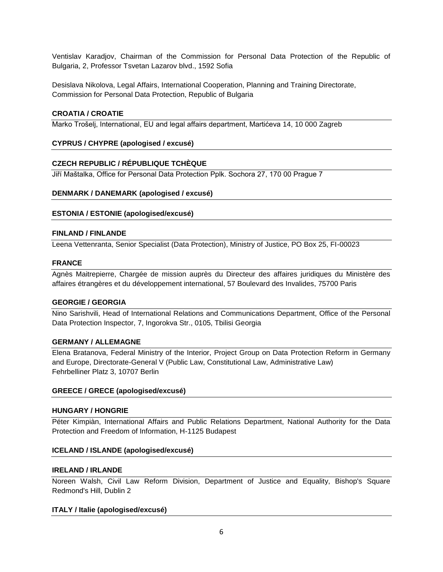Ventislav Karadjov, Chairman of the Commission for Personal Data Protection of the Republic of Bulgaria, 2, Professor Tsvetan Lazarov blvd., 1592 Sofia

Desislava Nikolova, Legal Affairs, International Cooperation, Planning and Training Directorate, Commission for Personal Data Protection, Republic of Bulgaria

# **CROATIA / CROATIE**

Marko Trošelj, International, EU and legal affairs department, Martićeva 14, 10 000 Zagreb

# **CYPRUS / CHYPRE (apologised / excusé)**

# **CZECH REPUBLIC / RÉPUBLIQUE TCHÈQUE**

Jiří Maštalka, Office for Personal Data Protection Pplk. Sochora 27, 170 00 Prague 7

# **DENMARK / DANEMARK (apologised / excusé)**

# **ESTONIA / ESTONIE (apologised/excusé)**

### **FINLAND / FINLANDE**

Leena Vettenranta, Senior Specialist (Data Protection), Ministry of Justice, PO Box 25, FI-00023

#### **FRANCE**

Agnès Maitrepierre, Chargée de mission auprès du Directeur des affaires juridiques du Ministère des affaires étrangères et du développement international, 57 Boulevard des Invalides, 75700 Paris

### **GEORGIE / GEORGIA**

Nino Sarishvili, Head of International Relations and Communications Department, Office of the Personal Data Protection Inspector, 7, Ingorokva Str., 0105, Tbilisi Georgia

# **GERMANY / ALLEMAGNE**

Elena Bratanova, Federal Ministry of the Interior, Project Group on Data Protection Reform in Germany and Europe, Directorate-General V (Public Law, Constitutional Law, Administrative Law) Fehrbelliner Platz 3, 10707 Berlin

### **GREECE / GRECE (apologised/excusé)**

### **HUNGARY / HONGRIE**

Péter Kimpiàn, International Affairs and Public Relations Department, National Authority for the Data Protection and Freedom of Information, H-1125 Budapest

# **ICELAND / ISLANDE (apologised/excusé)**

### **IRELAND / IRLANDE**

Noreen Walsh, Civil Law Reform Division, Department of Justice and Equality, Bishop's Square Redmond's Hill, Dublin 2

### **ITALY / Italie (apologised/excusé)**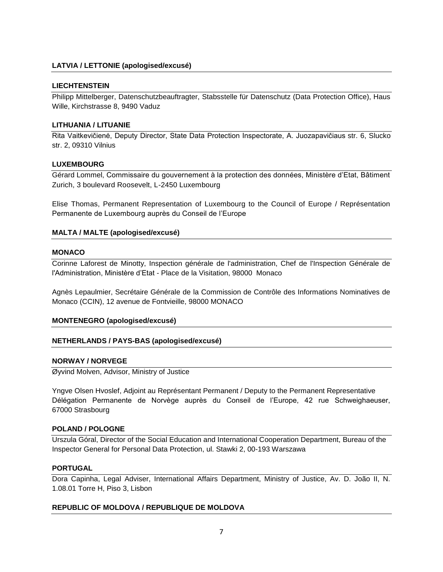# **LATVIA / LETTONIE (apologised/excusé)**

### **LIECHTENSTEIN**

Philipp Mittelberger, Datenschutzbeauftragter, Stabsstelle für Datenschutz (Data Protection Office), Haus Wille, Kirchstrasse 8, 9490 Vaduz

### **LITHUANIA / LITUANIE**

Rita Vaitkevičienė, Deputy Director, State Data Protection Inspectorate, A. Juozapavičiaus str. 6, Slucko str. 2, 09310 Vilnius

### **LUXEMBOURG**

Gérard Lommel, Commissaire du gouvernement à la protection des données, Ministère d'Etat, Bâtiment Zurich, 3 boulevard Roosevelt, L-2450 Luxembourg

Elise Thomas, Permanent Representation of Luxembourg to the Council of Europe / Représentation Permanente de Luxembourg auprès du Conseil de l'Europe

# **MALTA / MALTE (apologised/excusé)**

#### **MONACO**

Corinne Laforest de Minotty, Inspection générale de l'administration, Chef de l'Inspection Générale de l'Administration, Ministère d'Etat - Place de la Visitation, 98000 Monaco

Agnès Lepaulmier, Secrétaire Générale de la Commission de Contrôle des Informations Nominatives de Monaco (CCIN), 12 avenue de Fontvieille, 98000 MONACO

### **MONTENEGRO (apologised/excusé)**

### **NETHERLANDS / PAYS-BAS (apologised/excusé)**

### **NORWAY / NORVEGE**

Øyvind Molven, Advisor, Ministry of Justice

Yngve Olsen Hvoslef, Adjoint au Représentant Permanent / Deputy to the Permanent Representative Délégation Permanente de Norvège auprès du Conseil de l'Europe, 42 rue Schweighaeuser, 67000 Strasbourg

### **POLAND / POLOGNE**

Urszula Góral, Director of the Social Education and International Cooperation Department, Bureau of the Inspector General for Personal Data Protection, ul. Stawki 2, 00-193 Warszawa

#### **PORTUGAL**

Dora Capinha, Legal Adviser, International Affairs Department, Ministry of Justice, Av. D. João II, N. 1.08.01 Torre H, Piso 3, Lisbon

### **REPUBLIC OF MOLDOVA / REPUBLIQUE DE MOLDOVA**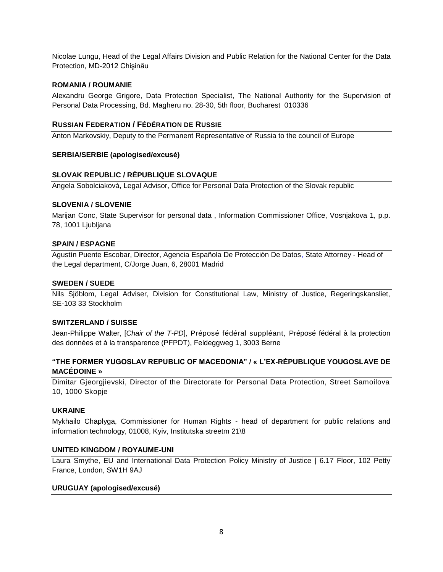Nicolae Lungu, Head of the Legal Affairs Division and Public Relation for the National Center for the Data Protection, MD-2012 Chişinău

# **ROMANIA / ROUMANIE**

Alexandru George Grigore, Data Protection Specialist, The National Authority for the Supervision of Personal Data Processing, Bd. Magheru no. 28-30, 5th floor, Bucharest 010336

# **RUSSIAN FEDERATION / F[ÉDÉRATION DE](http://home.coe.int/t/protocol/missdipl_en.asp#Russian_Federation_/_Fédération_de_Russie#Russian_Federation_/_Fédération_de_Russie) RUSSIE**

Anton Markovskiy, Deputy to the Permanent Representative of Russia to the council of Europe

### **SERBIA/SERBIE (apologised/excusé)**

# **SLOVAK REPUBLIC / RÉPUBLIQUE SLOVAQUE**

Angela Sobolciakovà, Legal Advisor, Office for Personal Data Protection of the Slovak republic

### **SLOVENIA / SLOVENIE**

Marijan Conc, State Supervisor for personal data , Information Commissioner Office, Vosnjakova 1, p.p. 78, 1001 Ljubljana

### **SPAIN / ESPAGNE**

Agustín Puente Escobar, Director, Agencia Española De Protección De Datos, State Attorney - Head of the Legal department, C/Jorge Juan, 6, 28001 Madrid

### **SWEDEN / SUEDE**

Nils Sjöblom, Legal Adviser, Division for Constitutional Law, Ministry of Justice, Regeringskansliet, SE-103 33 Stockholm

### **SWITZERLAND / SUISSE**

Jean-Philippe Walter, [*Chair of the T-PD*], Préposé fédéral suppléant, Préposé fédéral à la protection des données et à la transparence (PFPDT), Feldeggweg 1, 3003 Berne

# **"THE FORMER YUGOSLAV REPUBLIC OF MACEDONIA" / « L'EX-RÉPUBLIQUE YOUGOSLAVE DE MACÉDOINE »**

Dimitar Gjeorgjievski, Director of the Directorate for Personal Data Protection, Street Samoilova 10, 1000 Skopje

### **UKRAINE**

Mykhailo Chaplyga, Commissioner for Human Rights - head of department for public relations and information technology, 01008, Kyiv, Institutska streetm 21\8

### **UNITED KINGDOM / ROYAUME-UNI**

Laura Smythe, EU and International Data Protection Policy Ministry of Justice | 6.17 Floor, 102 Petty France, London, SW1H 9AJ

### **URUGUAY (apologised/excusé)**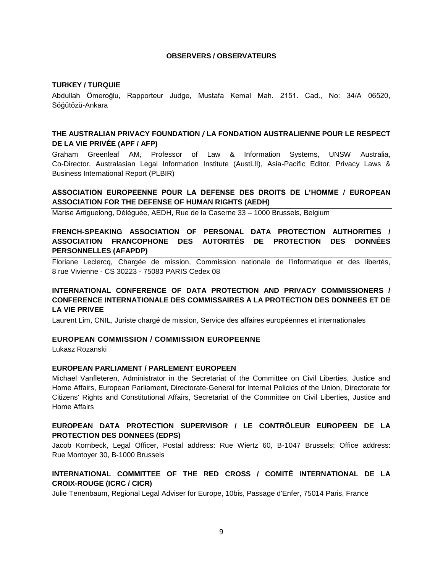# **OBSERVERS / OBSERVATEURS**

### **TURKEY / TURQUIE**

Abdullah Ömeroğlu, Rapporteur Judge, Mustafa Kemal Mah. 2151. Cad., No: 34/A 06520, Söğütözü-Ankara

# **THE AUSTRALIAN PRIVACY FOUNDATION / LA FONDATION AUSTRALIENNE POUR LE RESPECT DE LA VIE PRIVÉE (APF / AFP)**

Graham Greenleaf AM, Professor of Law & Information Systems, UNSW Australia, Co-Director, Australasian Legal Information Institute (AustLII), Asia-Pacific Editor, Privacy Laws & Business International Report (PLBIR)

# **ASSOCIATION EUROPEENNE POUR LA DEFENSE DES DROITS DE L'HOMME / EUROPEAN ASSOCIATION FOR THE DEFENSE OF HUMAN RIGHTS (AEDH)**

Marise Artiguelong, Déléguée, AEDH, Rue de la Caserne 33 – 1000 Brussels, Belgium

# **FRENCH-SPEAKING ASSOCIATION OF PERSONAL DATA PROTECTION AUTHORITIES / ASSOCIATION FRANCOPHONE DES AUTORITÉS DE PROTECTION DES DONNÉES PERSONNELLES (AFAPDP)**

Floriane Leclercq, Chargée de mission, Commission nationale de l'informatique et des libertés, 8 rue Vivienne - CS 30223 - 75083 PARIS Cedex 08

# **INTERNATIONAL CONFERENCE OF DATA PROTECTION AND PRIVACY COMMISSIONERS / CONFERENCE INTERNATIONALE DES COMMISSAIRES A LA PROTECTION DES DONNEES ET DE LA VIE PRIVEE**

Laurent Lim, CNIL, Juriste chargé de mission, Service des affaires européennes et internationales

# **EUROPEAN COMMISSION / COMMISSION EUROPEENNE**

Lukasz Rozanski

### **EUROPEAN PARLIAMENT / PARLEMENT EUROPEEN**

Michael Vanfleteren, Administrator in the Secretariat of the Committee on Civil Liberties, Justice and Home Affairs, European Parliament, Directorate-General for Internal Policies of the Union, Directorate for Citizens' Rights and Constitutional Affairs, Secretariat of the Committee on Civil Liberties, Justice and Home Affairs

# **EUROPEAN DATA PROTECTION SUPERVISOR / LE CONTRÔLEUR EUROPEEN DE LA PROTECTION DES DONNEES (EDPS)**

Jacob Kornbeck, Legal Officer, Postal address: Rue Wiertz 60, B-1047 Brussels; Office address: Rue Montoyer 30, B-1000 Brussels

# **INTERNATIONAL COMMITTEE OF THE RED CROSS / COMITÉ INTERNATIONAL DE LA CROIX-ROUGE (ICRC / CICR)**

Julie Tenenbaum, Regional Legal Adviser for Europe, 10bis, Passage d'Enfer, 75014 Paris, France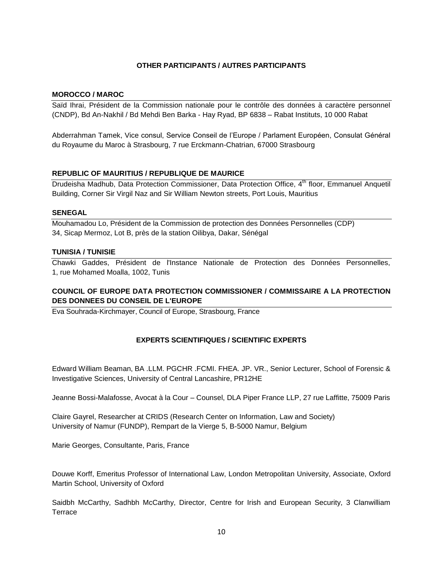# **OTHER PARTICIPANTS / AUTRES PARTICIPANTS**

### **MOROCCO / MAROC**

Saïd Ihrai, Président de la Commission nationale pour le contrôle des données à caractère personnel (CNDP), Bd An-Nakhil / Bd Mehdi Ben Barka - Hay Ryad, BP 6838 – Rabat Instituts, 10 000 Rabat

Abderrahman Tamek, Vice consul, Service Conseil de l'Europe / Parlament Européen, Consulat Général du Royaume du Maroc à Strasbourg, 7 rue Erckmann-Chatrian, 67000 Strasbourg

# **REPUBLIC OF MAURITIUS / REPUBLIQUE DE MAURICE**

Drudeisha Madhub, Data Protection Commissioner, Data Protection Office, 4<sup>th</sup> floor, Emmanuel Anquetil Building, Corner Sir Virgil Naz and Sir William Newton streets, Port Louis, Mauritius

#### **SENEGAL**

Mouhamadou Lo, Président de la Commission de protection des Données Personnelles (CDP) 34, Sicap Mermoz, Lot B, près de la station Oilibya, Dakar, Sénégal

### **TUNISIA / TUNISIE**

Chawki Gaddes, Président de l'Instance Nationale de Protection des Données Personnelles, 1, rue Mohamed Moalla, 1002, Tunis

# **COUNCIL OF EUROPE DATA PROTECTION COMMISSIONER / COMMISSAIRE A LA PROTECTION DES DONNEES DU CONSEIL DE L'EUROPE**

Eva Souhrada-Kirchmayer, Council of Europe, Strasbourg, France

# **EXPERTS SCIENTIFIQUES / SCIENTIFIC EXPERTS**

Edward William Beaman, BA .LLM. PGCHR .FCMI. FHEA. JP. VR., Senior Lecturer, School of Forensic & Investigative Sciences, University of Central Lancashire, PR12HE

Jeanne Bossi-Malafosse, Avocat à la Cour – Counsel, DLA Piper France LLP, 27 rue Laffitte, 75009 Paris

Claire Gayrel, Researcher at CRIDS (Research Center on Information, Law and Society) University of Namur (FUNDP), Rempart de la Vierge 5, B-5000 Namur, Belgium

Marie Georges, Consultante, Paris, France

Douwe Korff, Emeritus Professor of International Law, London Metropolitan University, Associate, Oxford Martin School, University of Oxford

Saidbh McCarthy, Sadhbh McCarthy, Director, Centre for Irish and European Security, 3 Clanwilliam **Terrace**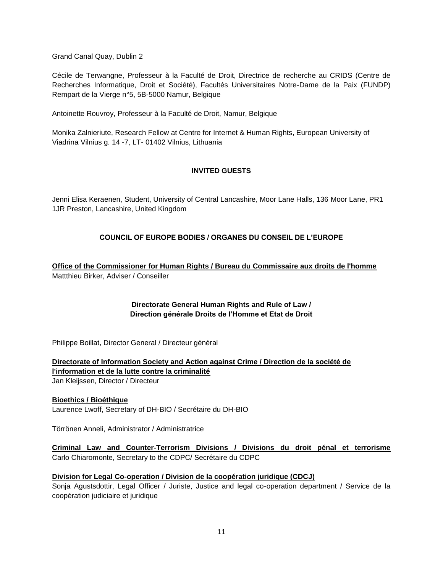Grand Canal Quay, Dublin 2

Cécile de Terwangne, Professeur à la Faculté de Droit, Directrice de recherche au CRIDS (Centre de Recherches Informatique, Droit et Société), Facultés Universitaires Notre-Dame de la Paix (FUNDP) Rempart de la Vierge n°5, 5B-5000 Namur, Belgique

Antoinette Rouvroy, Professeur à la Faculté de Droit, Namur, Belgique

Monika Zalnieriute, Research Fellow at Centre for Internet & Human Rights, European University of Viadrina Vilnius g. 14 -7, LT- 01402 Vilnius, Lithuania

# **INVITED GUESTS**

Jenni Elisa Keraenen, Student, University of Central Lancashire, Moor Lane Halls, 136 Moor Lane, PR1 1JR Preston, Lancashire, United Kingdom

# **COUNCIL OF EUROPE BODIES / ORGANES DU CONSEIL DE L'EUROPE**

**Office of the Commissioner for Human Rights / Bureau du Commissaire aux droits de l'homme** Mattthieu Birker, Adviser / Conseiller

# **Directorate General Human Rights and Rule of Law / Direction générale Droits de l'Homme et Etat de Droit**

Philippe Boillat, Director General / Directeur général

**Directorate of Information Society and Action against Crime / Direction de la société de l'information et de la lutte contre la criminalité** Jan Kleijssen, Director / Directeur

**Bioethics / Bioéthique** Laurence Lwoff, Secretary of DH-BIO / Secrétaire du DH-BIO

Törrönen Anneli, Administrator / Administratrice

**Criminal Law and Counter-Terrorism Divisions / Divisions du droit pénal et terrorisme** Carlo Chiaromonte, Secretary to the CDPC/ Secrétaire du CDPC

# **Division for Legal Co-operation / Division de la coopération juridique (CDCJ)**

Sonja Agustsdottir, Legal Officer / Juriste, Justice and legal co-operation department / Service de la coopération judiciaire et juridique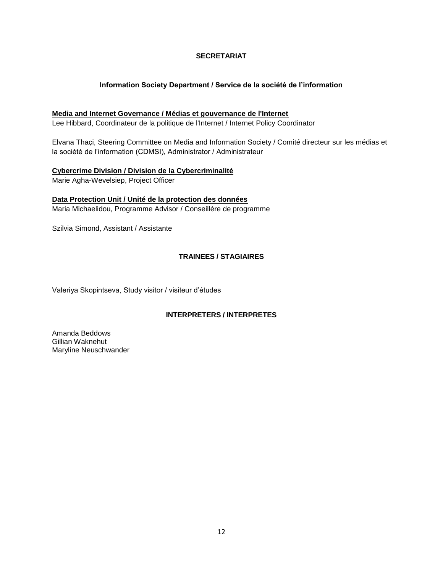# **SECRETARIAT**

# **Information Society Department / Service de la société de l'information**

# **Media and Internet Governance / Médias et gouvernance de l'Internet**

Lee Hibbard, Coordinateur de la politique de l'Internet / Internet Policy Coordinator

Elvana Thaçi, Steering Committee on Media and Information Society / Comité directeur sur les médias et la société de l'information (CDMSI), Administrator / Administrateur

# **Cybercrime Division / Division de la Cybercriminalité**

Marie Agha-Wevelsiep, Project Officer

**Data Protection Unit / Unité de la protection des données** Maria Michaelidou, Programme Advisor / Conseillère de programme

Szilvia Simond, Assistant / Assistante

# **TRAINEES / STAGIAIRES**

Valeriya Skopintseva, Study visitor / visiteur d'études

# **INTERPRETERS / INTERPRETES**

Amanda Beddows Gillian Waknehut Maryline Neuschwander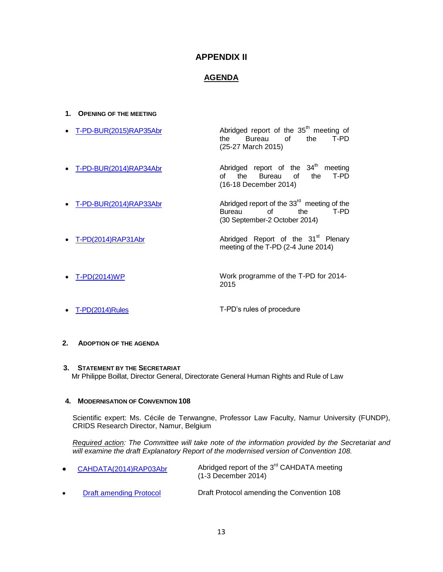# **APPENDIX II**

# **AGENDA**

### **1. OPENING OF THE MEETING**

- [T-PD-BUR\(2015\)RAP35Abr](file:///C:/Users/michaelidou/AppData/Local/Microsoft/Windows/Temporary%20Internet%20Files/Content.Outlook/KWF3PJ6C/T-PD-BUR(2015)Rap35Abr_E(29%2004%2015).pdf) **Abridged report of the 35<sup>th</sup> meeting of** the T-PD the Bureau of the (25-27 March 2015) • [T-PD-BUR\(2014\)RAP34Abr](http://www.coe.int/t/dghl/standardsetting/dataprotection/TPD_documents/T-PD-BUR(2014)Rap34Abr_En.pdf) **Abridged** report of the 34<sup>th</sup> meeting<br>of the Bureau of the T-PD Bureau of the (16-18 December 2014) [T-PD-BUR\(2014\)RAP33Abr](http://www.coe.int/t/dghl/standardsetting/dataprotection/TPD_documents/T-PD-BUR(2014)RAP33Abr_EN_(05%2011%202014).pdf) Abridged report of the 337-PD-BUR(2014)RAP33Abr Abridged report of Abridged report of the  $33^{\text{rd}}$  meeting of the<br>Bureau of the T-PD Bureau of the
- [T-PD\(2014\)RAP31Abr](http://www.coe.int/t/dghl/standardsetting/dataprotection/TPD_documents/T-PD(2014)RAP31Abr_En.pdf) Abridged Report of the 31<sup>st</sup> Plenary meeting of the T-PD (2-4 June 2014)

(30 September-2 October 2014)

- [T-PD\(2014\)WP](http://www.coe.int/t/dghl/standardsetting/dataprotection/TPD_documents/T-PD(2014)_2014-2015_WP_en_final.pdf) Work programme of the T-PD for 2014- 2015
- [T-PD\(2014\)Rules](http://www.coe.int/t/dghl/standardsetting/dataprotection/TPD_documents/T-PD(2014)Rules_Internal_rules%20of%20T-PD_En_Sept_2014.pdf) T-PD's rules of procedure

# **2. ADOPTION OF THE AGENDA**

**3. STATEMENT BY THE SECRETARIAT** Mr Philippe Boillat, Director General, Directorate General Human Rights and Rule of Law

### **4. MODERNISATION OF CONVENTION 108**

Scientific expert: Ms. Cécile de Terwangne, Professor Law Faculty, Namur University (FUNDP), CRIDS Research Director, Namur, Belgium

*Required action: The Committee will take note of the information provided by the Secretariat and will examine the draft Explanatory Report of the modernised version of Convention 108.*

|           | CAHDATA(2014)RAP03Abr          | Abridged report of the 3 <sup>rd</sup> CAHDATA meeting<br>$(1-3$ December 2014) |
|-----------|--------------------------------|---------------------------------------------------------------------------------|
| $\bullet$ | <b>Draft amending Protocol</b> | Draft Protocol amending the Convention 108                                      |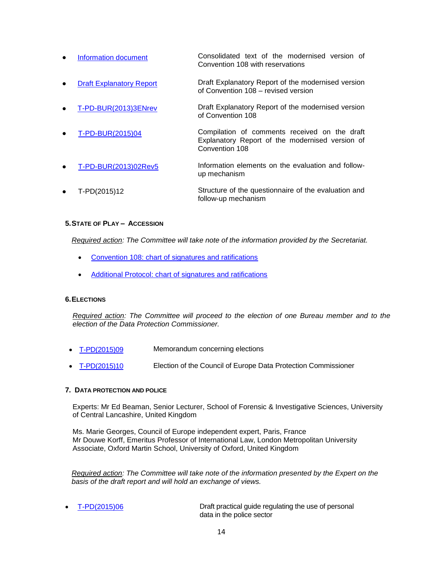- [Information](file:///C:/Users/michaelidou/AppData/Local/Microsoft/Windows/Temporary%20Internet%20Files/Content.Outlook/KWF3PJ6C/Information%20doc%20Modernised%20Convention%20108%20with%20reservations.pdf) document Consolidated text of the modernised version of Convention 108 with reservations
- [Draft Explanatory Report](file:///C:/Users/michaelidou/AppData/Local/Microsoft/Windows/Temporary%20Internet%20Files/Content.Outlook/KWF3PJ6C/Draft%20explanatory%20report%20-%20modernised%20Convention%20108%20-%20June26.pdf) Draft Explanatory Report of the modernised version of Convention 108 – revised version
- [T-PD-BUR\(2013\)3ENrev](http://www.coe.int/t/dghl/standardsetting/dataprotection/TPD_documents/T-PD-BUR(2013)3_EN%20-%20Draft%20explanatory%20report%20of%20the%20modernised%20version%20of%20Conv%20%20108.pdf) Draft Explanatory Report of the modernised version of Convention 108
- [T-PD-BUR\(2015\)04](file:///C:/Users/michaelidou/AppData/Local/Microsoft/Windows/Temporary%20Internet%20Files/Content.Outlook/KWF3PJ6C/T-PD-BUR(2015)04%20Compilation%20of%20comments%20received%2015%2006%202015.pdf) Compilation of comments received on the draft Explanatory Report of the modernised version of Convention 108
- [T-PD-BUR\(2013\)02Rev5](file://transitsrc/transit_src/Internet/dghl/StandardSetting/Dataprotection/Web/TPD_documents/T-PD-BUR(2013)02rev5_%20E.pdf) Information elements on the evaluation and followup mechanism
- T-PD(2015)12 Structure of the questionnaire of the evaluation and follow-up mechanism

### **5.STATE OF PLAY – ACCESSION**

*Required action: The Committee will take note of the information provided by the Secretariat.*

- [Convention 108: chart of signatures and ratifications](http://conventions.coe.int/Treaty/Commun/ChercheSig.asp?NT=108&CM=1&DF=&CL=ENG)
- [Additional Protocol: chart of signatures and ratifications](http://conventions.coe.int/Treaty/Commun/ChercheSig.asp?NT=181&CM=2&DF=&CL=ENG)

#### **6.ELECTIONS**

*Required action: The Committee will proceed to the election of one Bureau member and to the election of the Data Protection Commissioner.*

- [T-PD\(2015\)09](file:///C:/Users/michaelidou/AppData/Local/Microsoft/Windows/Temporary%20Internet%20Files/Content.Outlook/KWF3PJ6C/T-PD(2015)09_en_Memorandum%20by%20the%20Secretariat%20concerning%20elections.pdf) Memorandum concerning elections
- [T-PD\(2015\)10](file:///C:/Users/michaelidou/AppData/Local/Microsoft/Windows/Temporary%20Internet%20Files/Content.Outlook/KWF3PJ6C/T-PD(2015)10_en.pdf) Election of the Council of Europe Data Protection Commissioner

#### **7. DATA PROTECTION AND POLICE**

Experts: Mr Ed Beaman, Senior Lecturer, School of Forensic & Investigative Sciences, University of Central Lancashire, United Kingdom

Ms. Marie Georges, Council of Europe independent expert, Paris, France Mr Douwe Korff, Emeritus Professor of International Law, London Metropolitan University Associate, Oxford Martin School, University of Oxford, United Kingdom

*Required action: The Committee will take note of the information presented by the Expert on the basis of the draft report and will hold an exchange of views.*

 [T-PD\(2015\)06](file:///C:/Users/michaelidou/AppData/Local/Microsoft/Windows/Temporary%20Internet%20Files/Content.Outlook/KWF3PJ6C/T-PD(2015)06_Report%20by%20Edward%20Beaman_Police%20guide.pdf) Draft practical guide regulating the use of personal data in the police sector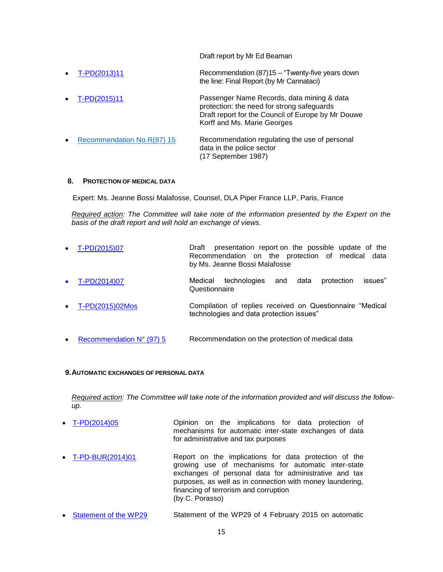Draft report by Mr Ed Beaman

 [T-PD\(2013\)11](file:///C:/Users/michaelidou/AppData/Local/Microsoft/Windows/Temporary%20Internet%20Files/Content.Outlook/KWF3PJ6C/T-PD(2013)11%20Report%20on%20data%20privacy%20in%20the%20police%20sector%20(Cannataci)%20En_(final)Rev18-02-2014.pdf) Recommendation (87)15 – "Twenty-five years down the line: Final Report (by Mr Cannataci) [T-PD\(2015\)11](file:///C:/Users/michaelidou/AppData/Local/Microsoft/Windows/Temporary%20Internet%20Files/Content.Outlook/KWF3PJ6C/T-PD(2015)11_PNR%20draft%20report%20Douwe%20Korff%20&%20Marie%20Georges_15%2006%202015.pdf) Passenger Name Records, data mining & data protection: the need for strong safeguards Draft report for the Council of Europe by Mr Douwe Korff and Ms. Marie Georges [Recommendation No.R\(87\) 15](https://wcd.coe.int/ViewDoc.jsp?id=704881&Site=CM&BackColorInternet=C3C3C3&BackColorIntranet=EDB021&BackColorLogged=F5D383) Recommendation regulating the use of personal data in the police sector (17 September 1987)

#### **8. PROTECTION OF MEDICAL DATA**

Expert: Ms. Jeanne Bossi Malafosse, Counsel, DLA Piper France LLP, Paris, France

*Required action: The Committee will take note of the information presented by the Expert on the basis of the draft report and will hold an exchange of views.*

| • $T-PD(2015)07$                    | Draft presentation report on the possible update of the<br>Recommendation on the protection of medical data<br>by Ms. Jeanne Bossi Malafosse |
|-------------------------------------|----------------------------------------------------------------------------------------------------------------------------------------------|
| • $T-PD(2014)07$                    | technologies and<br>issues"<br>data<br>protection<br>Medical<br>Questionnaire                                                                |
| • $T-PD(2015)02M$ os                | Compilation of replies received on Questionnaire "Medical<br>technologies and data protection issues"                                        |
| • Recommendation $N^{\circ}$ (97) 5 | Recommendation on the protection of medical data                                                                                             |

#### **9.AUTOMATIC EXCHANGES OF PERSONAL DATA**

*Required action: The Committee will take note of the information provided and will discuss the followup.*

- [T-PD\(2014\)05](http://www.coe.int/t/dghl/standardsetting/dataprotection/TPD_documents/T-PD(2014)05_En_Opinion%20tax%20(final).pdf) Opinion on the implications for data protection of mechanisms for automatic inter-state exchanges of data for administrative and tax purposes
- [T-PD-BUR\(2014\)01](file:///C:/Users/michaelidou/AppData/Local/Microsoft/Windows/Temporary%20Internet%20Files/Content.Outlook/KWF3PJ6C/T-PD-BUR(2014)01%20-%20Rapport%20CE%202013%20(final)%20C.%20Porasso_En.pdf) Report on the implications for data protection of the growing use of mechanisms for automatic inter-state exchanges of personal data for administrative and tax purposes, as well as in connection with money laundering, financing of terrorism and corruption (by C. Porasso)
- [Statement of the WP29](http://ec.europa.eu/justice/data-protection/article-29/documentation/opinion-recommendation/files/2015/wp230_en.pdf) Statement of the WP29 of 4 February 2015 on automatic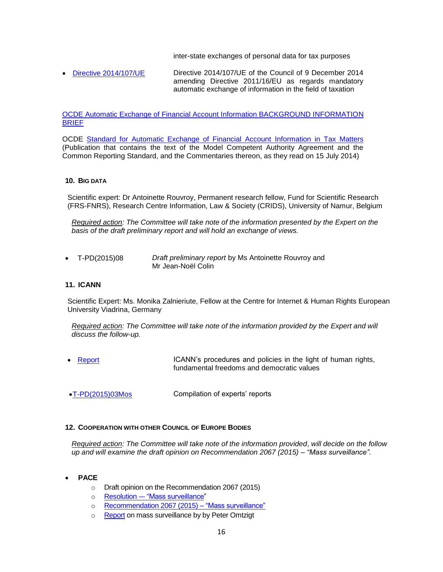inter-state exchanges of personal data for tax purposes

 [Directive 2014/107/UE](http://eur-lex.europa.eu/legal-content/EN/TXT/HTML/?uri=CELEX:32014L0107&from=FR) Directive 2014/107/UE of the Council of 9 December 2014 amending Directive 2011/16/EU as regards mandatory automatic exchange of information in the field of taxation

[OCDE Automatic Exchange of Financial Account Information BACKGROUND INFORMATION](http://www.oecd.org/ctp/exchange-of-tax-information/automatic-Exchange-Financial-Account-Information.pdf)  [BRIEF](http://www.oecd.org/ctp/exchange-of-tax-information/automatic-Exchange-Financial-Account-Information.pdf)

OCDE [Standard for Automatic Exchange of Financial Account](http://www.keepeek.com/Digital-Asset-Management/oecd/taxation/standard-for-automatic-exchange-of-financial-account-information-for-tax-matters_9789264216525-en#page1.) Information in Tax Matters (Publication that contains the text of the Model Competent Authority Agreement and the Common Reporting Standard, and the Commentaries thereon, as they read on 15 July 2014)

### **10. BIG DATA**

Scientific expert: Dr Antoinette Rouvroy, Permanent research fellow, Fund for Scientific Research (FRS-FNRS), Research Centre Information, Law & Society (CRIDS), University of Namur, Belgium

*Required action: The Committee will take note of the information presented by the Expert on the basis of the draft preliminary report and will hold an exchange of views.*

 T-PD(2015)08 *Draft preliminary report* by Ms Antoinette Rouvroy and Mr Jean-Noël Colin

#### **11. ICANN**

Scientific Expert: Ms. Monika Zalnieriute, Fellow at the Centre for Internet & Human Rights European University Viadrina, Germany

*Required action: The Committee will take note of the information provided by the Expert and will discuss the follow-up.*

- [Report](file:///C:/Users/michaelidou/AppData/Local/Microsoft/Windows/Temporary%20Internet%20Files/Content.Outlook/KWF3PJ6C/ICANN%20Report%20DGI_2014_12E%20and%20Human%20Rights%20updated%208%20Oct%202014.pdf) **ICANN's procedures and policies in the light of human rights,** fundamental freedoms and democratic values
- [T-PD\(2015\)03Mos](file:///C:/Users/michaelidou/AppData/Local/Microsoft/Windows/Temporary%20Internet%20Files/Content.Outlook/KWF3PJ6C/T-PD(2015)03Mos%20(04%2006%202015)%20-%20Compil.%20of%20reports%20of%20T-PD%20repr.%20in%20other%20comm.%20and%20fora%20events%20conferences.pdf) Compilation of experts' reports

#### **12. COOPERATION WITH OTHER COUNCIL OF EUROPE BODIES**

*Required action: The Committee will take note of the information provided*, *will decide on the follow up and will examine the draft opinion on Recommendation 2067 (2015) – "Mass surveillance".*

- **PACE**
	- o Draft opinion on the Recommendation 2067 (2015)
	- o Resolution -– ["Mass surveillance"](http://assembly.coe.int/nw/xml/XRef/Xref-XML2HTML-en.asp?fileid=21692&lang=en)
	- o [Recommendation 2067 \(2015\) –](http://assembly.coe.int/nw/xml/XRef/Xref-XML2HTML-en.asp?fileid=21694&lang=en) "Mass surveillance"
	- o [Report](http://website-pace.net/documents/19838/1085720/20150126-MassSurveillance-EN.pdf/df5aae25-6cfe-450a-92a6-e903af10b7a2) on mass surveillance by by Peter Omtzigt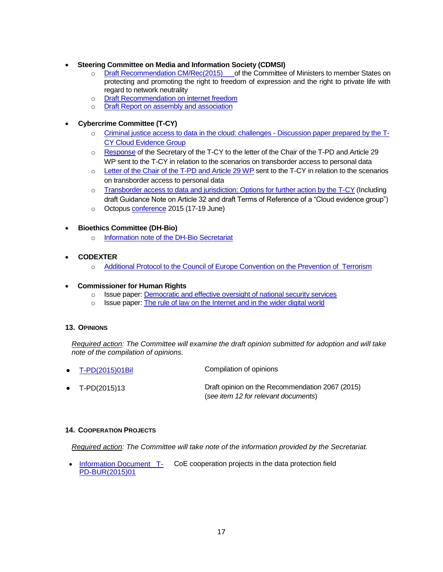- **Steering Committee on Media and Information Society (CDMSI)** 
	- o Draft Recommendation CM/Rec(2015) of the Committee of Ministers to member States on protecting and promoting the right to freedom of expression and the right to private life with regard to network neutrality
	- o [Draft Recommendation on internet freedom](http://www.coe.int/t/dghl/standardsetting/media/MSI-INT/MSI-INT(2014)13rev2_en.pdf)
	- o [Draft Report on assembly and association](http://www.coe.int/t/dghl/standardsetting/media/MSI-INT/MSI-INT(2014)08rev2en_Draft%20Report%20assembly%20and%20association.pdf)
- **Cybercrime Committee (T-CY)**
	- o [Criminal justice access to data in the cloud: challenges -](http://www.coe.int/t/dghl/cooperation/economiccrime/Source/Cybercrime/TCY/2015/T-CY(2015)10_CEG%20challenges%20rep_sum_v8.pdf) Discussion paper prepared by the T-[CY Cloud Evidence Group](http://www.coe.int/t/dghl/cooperation/economiccrime/Source/Cybercrime/TCY/2015/T-CY(2015)10_CEG%20challenges%20rep_sum_v8.pdf)
	- o [Response](file:///C:/Users/michaelidou/AppData/Local/Microsoft/Windows/Temporary%20Internet%20Files/Content.Outlook/KWF3PJ6C/T-CY(2015)_WP29reply_v1.pdf) of the Secretary of the T-CY to the letter of the Chair of the T-PD and Article 29 WP sent to the T-CY in relation to the scenarios on transborder access to personal data
	- o [Letter of the Chair of the T-PD and Article 29 WP](http://www.coe.int/t/dghl/standardsetting/dataprotection/TPD_documents/Letter%20of%20the%20ART%2029%20WP%20T-CY%20on%20the%20cybercrime%20scenarios%20%20_SIGNED_20141128_%20pdf.pdf) sent to the T-CY in relation to the scenarios on transborder access to personal data
	- o [Transborder access to data and jurisdiction: Options for further action by the T-CY](http://www.coe.int/t/dghl/cooperation/economiccrime/Source/Cybercrime/TCY/2014/T-CY(2014)16_TBGroupReport_v17adopted.pdf) (Including draft Guidance Note on Article 32 and draft Terms of Reference of a "Cloud evidence group")
	- o Octopus [conference](http://www.coe.int/t/dghl/cooperation/economiccrime/cybercrime/cy_octopus2015/Octopus2015_en.asp) 2015 (17-19 June)
- **Bioethics Committee (DH-Bio)**
	- o [Information note of the DH-Bio Secretariat](file:///C:/Users/michaelidou/AppData/Local/Microsoft/Windows/Temporary%20Internet%20Files/Content.Outlook/KWF3PJ6C/DH-Bio%20Info%20for%20TPD%20June_2015.pdf)
- **CODEXTER**
	- o [Additional Protocol to the Council of Europe Convention on the Prevention of Terrorism](https://wcd.coe.int/ViewDoc.jsp?Ref=CM%282015%2961&Language=lanEnglish&Ver=final&Site=CM&BackColorInternet=C3C3C3&BackColorIntranet=EDB021&BackColorLogged=F5D383)
- **Commissioner for Human Rights**
	- o Issue paper: [Democratic and effective oversight of national security services](https://wcd.coe.int/ViewDoc.jsp?Ref=CommDH/IssuePaper(2015)2&Language=lanEnglish&Ver=original&Site=COE&BackColorInternet=DBDCF2&BackColorIntranet=FDC864&BackColorLogged=FDC864)
	- o Issue paper: [The rule of law on the Internet and in the wider digital world](https://wcd.coe.int/ViewDoc.jsp?Ref=CommDH/IssuePaper(2014)1&Language=lanEnglish&Ver=original&Site=COE&BackColorInternet=DBDCF2&BackColorIntranet=FDC864&BackColorLogged=FDC864)

### **13. OPINIONS**

*Required action: The Committee will examine the draft opinion submitted for adoption and will take note of the compilation of opinions.* 

 [T-PD\(2015\)01Bil](file:///C:/Users/michaelidou/AppData/Local/Microsoft/Windows/Temporary%20Internet%20Files/Content.Outlook/KWF3PJ6C/T-PD(2015)01Bil%20%20Compilation%20Opinions%20-%20Avis%20T-PD.pdf) Compilation of opinions T-PD(2015)13 Draft opinion on the Recommendation 2067 (2015) (*see item 12 for relevant documents*)

### **14. COOPERATION PROJECTS**

*Required action: The Committee will take note of the information provided by the Secretariat.*

 [Information Document T-](http://www.coe.int/t/dghl/standardsetting/dataprotection/TPD_documents/T-PD-BUR(2015)01%20Cooperation%20Projects%20Summary.pdf)[PD-BUR\(2015\)01](http://www.coe.int/t/dghl/standardsetting/dataprotection/TPD_documents/T-PD-BUR(2015)01%20Cooperation%20Projects%20Summary.pdf) CoE cooperation projects in the data protection field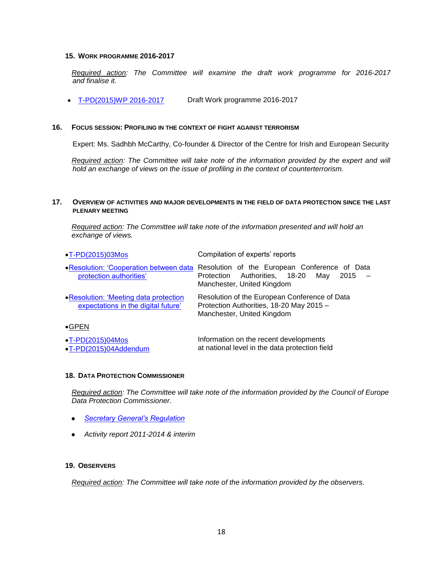#### **15. WORK PROGRAMME 2016-2017**

*Required action: The Committee will examine the draft work programme for 2016-2017 and finalise it.*

[T-PD\(2015\)WP 2016-2017](file:///C:/Users/michaelidou/AppData/Local/Microsoft/Windows/Temporary%20Internet%20Files/Content.Outlook/KWF3PJ6C/T-PD(2015)WP_2016-2017.pdf) Draft Work programme 2016-2017

#### **16. FOCUS SESSION: PROFILING IN THE CONTEXT OF FIGHT AGAINST TERRORISM**

Expert: Ms. Sadhbh McCarthy, Co-founder & Director of the Centre for Irish and European Security

*Required action: The Committee will take note of the information provided by the expert and will hold an exchange of views on the issue of profiling in the context of counterterrorism.* 

#### **17. OVERVIEW OF ACTIVITIES AND MAJOR DEVELOPMENTS IN THE FIELD OF DATA PROTECTION SINCE THE LAST PLENARY MEETING**

*Required action: The Committee will take note of the information presented and will hold an exchange of views.*

| $\bullet$ T-PD(2015)03Mos                                                     | Compilation of experts' reports                                                                                                   |
|-------------------------------------------------------------------------------|-----------------------------------------------------------------------------------------------------------------------------------|
| • Resolution: 'Cooperation between data<br>protection authorities'            | Resolution of the European Conference of Data<br>Authorities,<br>18-20<br>Mav<br>2015<br>Protection<br>Manchester, United Kingdom |
| • Resolution: 'Meeting data protection<br>expectations in the digital future' | Resolution of the European Conference of Data<br>Protection Authorities, 18-20 May 2015 -<br>Manchester, United Kingdom           |
| $\bullet$ GPEN                                                                |                                                                                                                                   |
| $\cdot$ T-PD(2015)04Mos<br>$\bullet$ T-PD(2015)04Addendum                     | Information on the recent developments<br>at national level in the data protection field                                          |

#### **18. DATA PROTECTION COMMISSIONER**

*Required action: The Committee will take note of the information provided by the Council of Europe Data Protection Commissioner.*

- *[Secretary General's Regulation](http://www.coe.int/t/dghl/standardsetting/dataprotection/DP%20Regulation%2017%20april%201989%20CoE%20E%20_2_.pdf)*
- *Activity report 2011-2014 & interim*

#### **19. OBSERVERS**

*Required action: The Committee will take note of the information provided by the observers.*